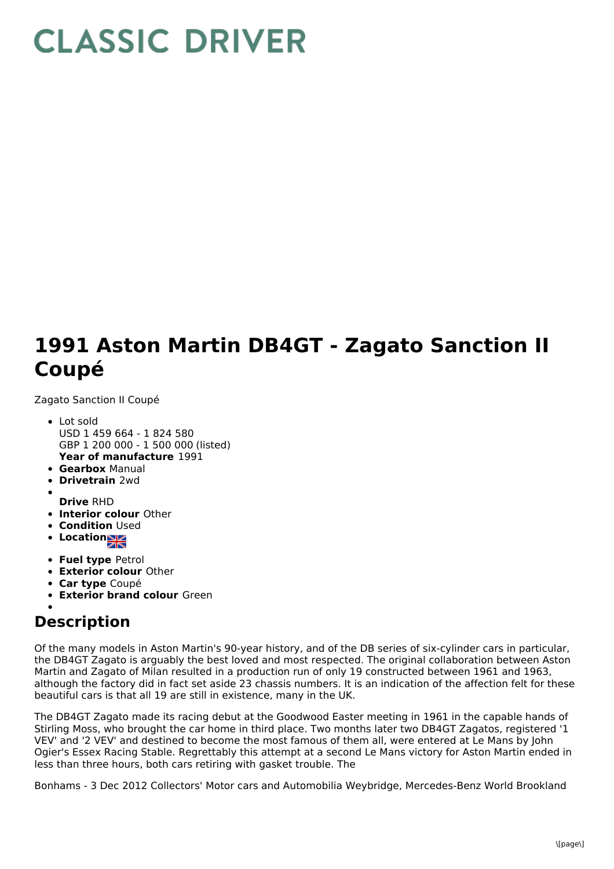## **CLASSIC DRIVER**

## **1991 Aston Martin DB4GT - Zagato Sanction II Coupé**

Zagato Sanction II Coupé

- **Year of manufacture** 1991 Lot sold USD 1 459 664 - 1 824 580 GBP 1 200 000 - 1 500 000 (listed)
- **Gearbox** Manual
- **Drivetrain** 2wd
- **Drive** RHD
- **Interior colour** Other
- **Condition Used**
- **Locations**
- **Fuel type** Petrol
- **Exterior colour** Other
- **Car type** Coupé
- **Exterior brand colour** Green

## **Description**

Of the many models in Aston Martin's 90-year history, and of the DB series of six-cylinder cars in particular, the DB4GT Zagato is arguably the best loved and most respected. The original collaboration between Aston Martin and Zagato of Milan resulted in a production run of only 19 constructed between 1961 and 1963, although the factory did in fact set aside 23 chassis numbers. It is an indication of the affection felt for these beautiful cars is that all 19 are still in existence, many in the UK.

The DB4GT Zagato made its racing debut at the Goodwood Easter meeting in 1961 in the capable hands of Stirling Moss, who brought the car home in third place. Two months later two DB4GT Zagatos, registered '1 VEV' and '2 VEV' and destined to become the most famous of them all, were entered at Le Mans by John Ogier's Essex Racing Stable. Regrettably this attempt at a second Le Mans victory for Aston Martin ended in less than three hours, both cars retiring with gasket trouble. The

Bonhams - 3 Dec 2012 Collectors' Motor cars and Automobilia Weybridge, Mercedes-Benz World Brookland